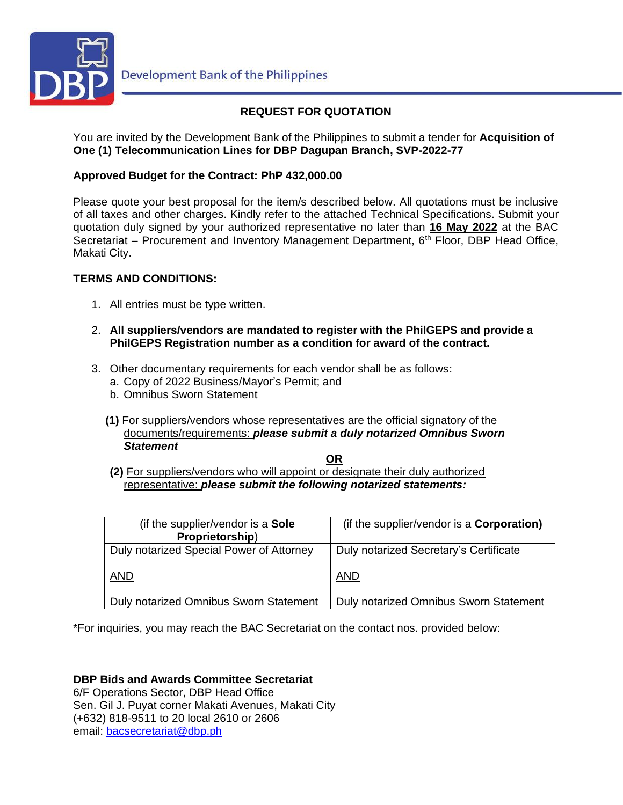

# **REQUEST FOR QUOTATION**

You are invited by the Development Bank of the Philippines to submit a tender for **Acquisition of One (1) Telecommunication Lines for DBP Dagupan Branch, SVP-2022-77**

## **Approved Budget for the Contract: PhP 432,000.00**

Please quote your best proposal for the item/s described below. All quotations must be inclusive of all taxes and other charges. Kindly refer to the attached Technical Specifications. Submit your quotation duly signed by your authorized representative no later than **16 May 2022** at the BAC Secretariat – Procurement and Inventory Management Department, 6<sup>th</sup> Floor, DBP Head Office, Makati City.

## **TERMS AND CONDITIONS:**

- 1. All entries must be type written.
- 2. **All suppliers/vendors are mandated to register with the PhilGEPS and provide a PhilGEPS Registration number as a condition for award of the contract.**
- 3. Other documentary requirements for each vendor shall be as follows:
	- a. Copy of 2022 Business/Mayor's Permit; and
	- b. Omnibus Sworn Statement
	- **(1)** For suppliers/vendors whose representatives are the official signatory of the documents/requirements: *please submit a duly notarized Omnibus Sworn Statement*

**OR**

**(2)** For suppliers/vendors who will appoint or designate their duly authorized representative: *please submit the following notarized statements:*

| (if the supplier/vendor is a Sole<br>Proprietorship) | (if the supplier/vendor is a <b>Corporation)</b> |
|------------------------------------------------------|--------------------------------------------------|
| Duly notarized Special Power of Attorney             | Duly notarized Secretary's Certificate           |
| AND                                                  | <b>AND</b>                                       |
| Duly notarized Omnibus Sworn Statement               | Duly notarized Omnibus Sworn Statement           |

\*For inquiries, you may reach the BAC Secretariat on the contact nos. provided below:

**DBP Bids and Awards Committee Secretariat**  6/F Operations Sector, DBP Head Office Sen. Gil J. Puyat corner Makati Avenues, Makati City (+632) 818-9511 to 20 local 2610 or 2606 email: [bacsecretariat@dbp.ph](mailto:bacsecretariat@dbp.ph)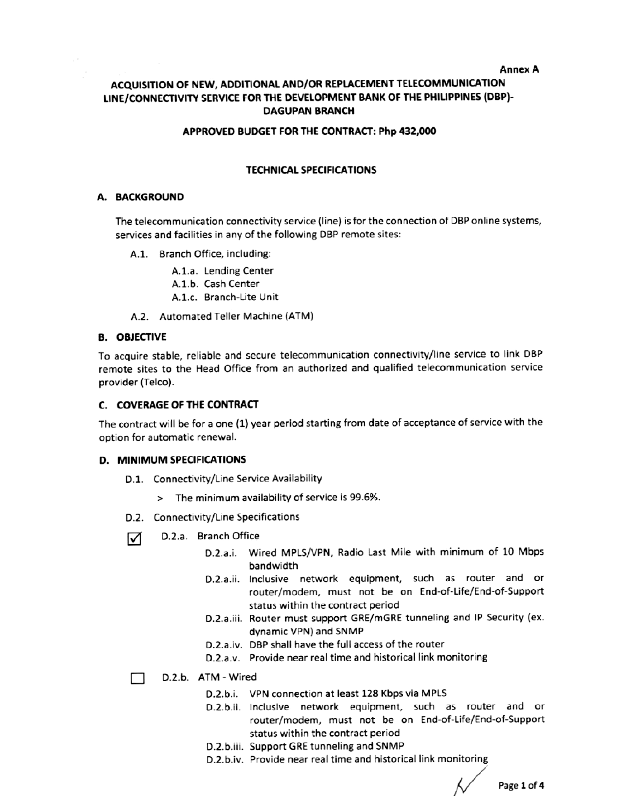#### **Annex A**

## ACQUISITION OF NEW, ADDITIONAL AND/OR REPLACEMENT TELECOMMUNICATION LINE/CONNECTIVITY SERVICE FOR THE DEVELOPMENT BANK OF THE PHILIPPINES (DBP)-**DAGUPAN BRANCH**

### APPROVED BUDGET FOR THE CONTRACT: Php 432,000

### **TECHNICAL SPECIFICATIONS**

#### A. BACKGROUND

The telecommunication connectivity service (line) is for the connection of DBP online systems, services and facilities in any of the following DBP remote sites:

A.1. Branch Office, including:

A.1.a. Lending Center A.1.b. Cash Center A.1.c. Branch-Lite Unit

A.2. Automated Teller Machine (ATM)

### **B. OBJECTIVE**

To acquire stable, reliable and secure telecommunication connectivity/line service to link DBP remote sites to the Head Office from an authorized and qualified telecommunication service provider (Telco).

### C. COVERAGE OF THE CONTRACT

The contract will be for a one (1) year period starting from date of acceptance of service with the option for automatic renewal.

#### **D. MINIMUM SPECIFICATIONS**

- D.1. Connectivity/Line Service Availability
	- > The minimum availability of service is 99.6%.
- D.2. Connectivity/Line Specifications
- D.2.a. Branch Office ☑
	- D.2.a.i. Wired MPLS/VPN, Radio Last Mile with minimum of 10 Mbps bandwidth
	- D.2.a.ii. Inclusive network equipment, such as router and or router/modem, must not be on End-of-Life/End-of-Support status within the contract period
	- D.2.a.iii. Router must support GRE/mGRE tunneling and IP Security (ex. dynamic VPN) and SNMP
	- D.2.a.iv. DBP shall have the full access of the router
	- D.2.a.v. Provide near real time and historical link monitoring
- D.2.b. ATM Wired П
	- D.2.b.i. VPN connection at least 128 Kbps via MPLS
	- D.2.b.ii. Inclusive network equipment, such as router and or router/modem, must not be on End-of-Life/End-of-Support status within the contract period
	- D.2.b.iii. Support GRE tunneling and SNMP
	- D.2.b.iv. Provide near real time and historical link monitoring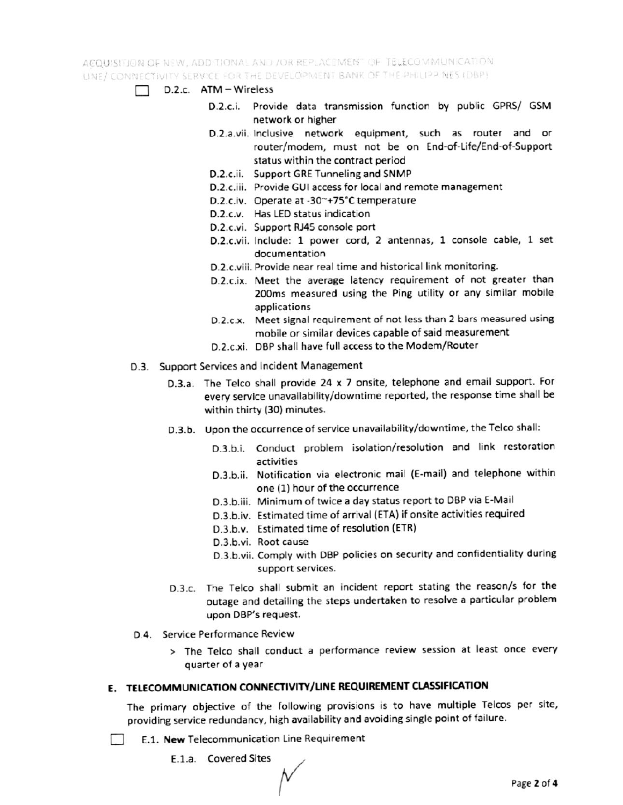ACOUISITION OF NEW, ADDITIONAL AND JOR REPLACEMENT OF TELECOMMUNICATION. LINE/ CONNECTIVITY SERVICE FOR THE DEVELOPMENT BANK OF THE PHILIPP NES (DBP).

- D.2.c. ATM Wireless  $\Box$ 
	- D.2.c.i. Provide data transmission function by public GPRS/ GSM network or higher
	- D.2.a.vii. Inclusive network equipment, such as router and or router/modem, must not be on End-of-Life/End-of-Support status within the contract period
	- D.2.c.ii. Support GRE Tunneling and SNMP
	- D.2.c.iii. Provide GUI access for local and remote management
	- D.2.c.iv. Operate at -30~+75°C temperature
	- D.2.c.v. Has LED status indication
	- D.2.c.vi. Support RJ45 console port
	- D.2.c.vii. Include: 1 power cord, 2 antennas, 1 console cable, 1 set documentation
	- D.2.c.viii. Provide near real time and historical link monitoring.
	- D.2.c.ix. Meet the average latency requirement of not greater than 200ms measured using the Ping utility or any similar mobile applications
	- D.2.c.x. Meet signal requirement of not less than 2 bars measured using mobile or similar devices capable of said measurement
	- D.2.c.xi. DBP shall have full access to the Modem/Router
- D.3. Support Services and Incident Management
	- D.3.a. The Telco shall provide 24 x 7 onsite, telephone and email support. For every service unavailability/downtime reported, the response time shall be within thirty (30) minutes.
	- D.3.b. Upon the occurrence of service unavailability/downtime, the Telco shall:
		- D.3.b.i. Conduct problem isolation/resolution and link restoration activities
		- D.3.b.ii. Notification via electronic mail (E-mail) and telephone within one (1) hour of the occurrence
		- D.3.b.iii. Minimum of twice a day status report to DBP via E-Mail
		- D.3.b.iv. Estimated time of arrival (ETA) if onsite activities required
		- D.3.b.v. Estimated time of resolution (ETR)
		- D.3.b.vi. Root cause
		- D.3.b.vii. Comply with DBP policies on security and confidentiality during support services.
	- D.3.c. The Telco shall submit an incident report stating the reason/s for the outage and detailing the steps undertaken to resolve a particular problem upon DBP's request.
- D.4. Service Performance Review
	- > The Telco shall conduct a performance review session at least once every quarter of a year

## E. TELECOMMUNICATION CONNECTIVITY/LINE REQUIREMENT CLASSIFICATION

The primary objective of the following provisions is to have multiple Telcos per site, providing service redundancy, high availability and avoiding single point of failure.

E.1. New Telecommunication Line Requirement **PARTIES** 

E.1.a. Covered Sites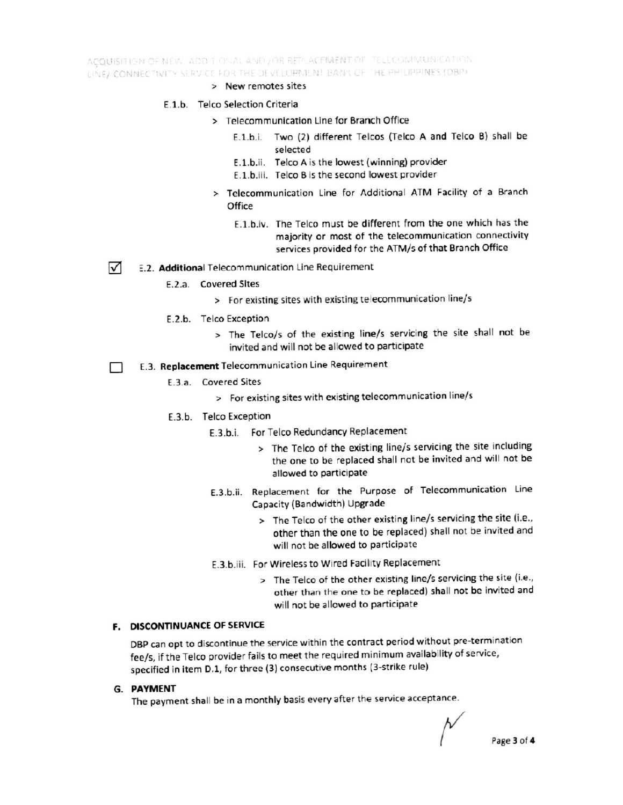ACQUISITION OF NEW, ADD T.ONAL AND / OR REPLACEMENT OF TELECOMMUNICATION LINE/ CONNECTIVITY SERVICE FOR THE DEVELOPMENT BANK OF THE PHILIPPINES (DBP).

- > New remotes sites
- E.1.b. Telco Selection Criteria
	- > Telecommunication Line for Branch Office
		- E.1.b.i. Two (2) different Telcos (Telco A and Telco B) shall be selected
		- E.1.b.ii. Telco A is the lowest (winning) provider
		- E.1.b.iii. Telco B is the second lowest provider
	- > Telecommunication Line for Additional ATM Facility of a Branch Office
		- E.1.b.iv. The Telco must be different from the one which has the majority or most of the telecommunication connectivity services provided for the ATM/s of that Branch Office
- ☑ E.2. Additional Telecommunication Line Requirement
	- E.2.a. Covered Sites
		- > For existing sites with existing telecommunication line/s
		- E.2.b. Telco Exception
			- > The Telco/s of the existing line/s servicing the site shall not be invited and will not be allowed to participate
- E.3. Replacement Telecommunication Line Requirement П
	- E.3.a. Covered Sites
		- > For existing sites with existing telecommunication line/s
	- E.3.b. Telco Exception
		- E.3.b.i. For Telco Redundancy Replacement
			- > The Telco of the existing line/s servicing the site including the one to be replaced shall not be invited and will not be allowed to participate
		- E.3.b.ii. Replacement for the Purpose of Telecommunication Line Capacity (Bandwidth) Upgrade
			- > The Telco of the other existing line/s servicing the site (i.e., other than the one to be replaced) shall not be invited and will not be allowed to participate
		- E.3.b.iii. For Wireless to Wired Facility Replacement
			- > The Telco of the other existing line/s servicing the site (i.e., other than the one to be replaced) shall not be invited and will not be allowed to participate

#### F. DISCONTINUANCE OF SERVICE

DBP can opt to discontinue the service within the contract period without pre-termination fee/s, if the Telco provider fails to meet the required minimum availability of service, specified in item D.1, for three (3) consecutive months (3-strike rule)

#### G. PAYMENT

The payment shall be in a monthly basis every after the service acceptance.